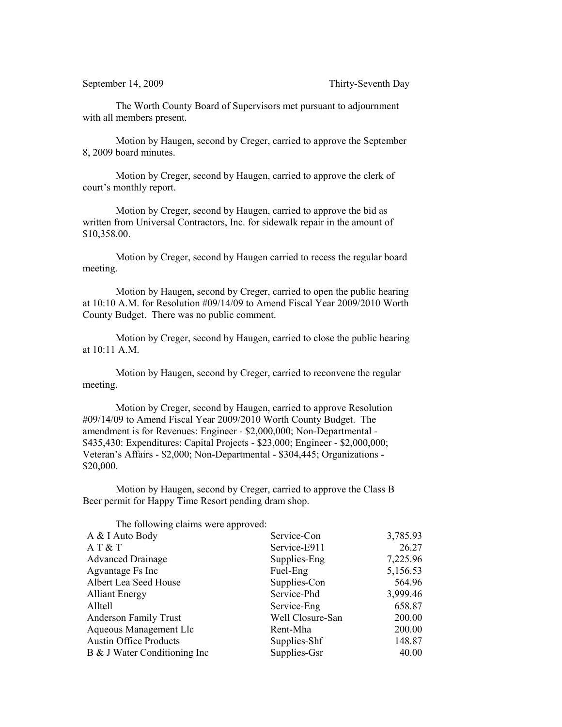The Worth County Board of Supervisors met pursuant to adjournment with all members present.

Motion by Haugen, second by Creger, carried to approve the September 8, 2009 board minutes.

Motion by Creger, second by Haugen, carried to approve the clerk of court's monthly report.

Motion by Creger, second by Haugen, carried to approve the bid as written from Universal Contractors, Inc. for sidewalk repair in the amount of \$10,358.00.

Motion by Creger, second by Haugen carried to recess the regular board meeting.

Motion by Haugen, second by Creger, carried to open the public hearing at 10:10 A.M. for Resolution #09/14/09 to Amend Fiscal Year 2009/2010 Worth County Budget. There was no public comment.

Motion by Creger, second by Haugen, carried to close the public hearing at 10:11 A.M.

Motion by Haugen, second by Creger, carried to reconvene the regular meeting.

Motion by Creger, second by Haugen, carried to approve Resolution #09/14/09 to Amend Fiscal Year 2009/2010 Worth County Budget. The amendment is for Revenues: Engineer - \$2,000,000; Non-Departmental - \$435,430: Expenditures: Capital Projects - \$23,000; Engineer - \$2,000,000; Veteran's Affairs - \$2,000; Non-Departmental - \$304,445; Organizations - \$20,000.

Motion by Haugen, second by Creger, carried to approve the Class B Beer permit for Happy Time Resort pending dram shop.

The following claims were approved: A & I Auto Body Service-Con 3,785.93 A T & T Service-E911 26.27 Advanced Drainage Supplies-Eng 7,225.96 Agvantage Fs Inc Fuel-Eng 5,156.53 Albert Lea Seed House Supplies-Con 564.96 Alliant Energy Service-Phd 3,999.46 Alltell Service-Eng 658.87 Anderson Family Trust Well Closure-San 200.00 Aqueous Management Llc Rent-Mha 200.00 Austin Office Products Supplies-Shf 148.87 B & J Water Conditioning Inc Supplies-Gsr 40.00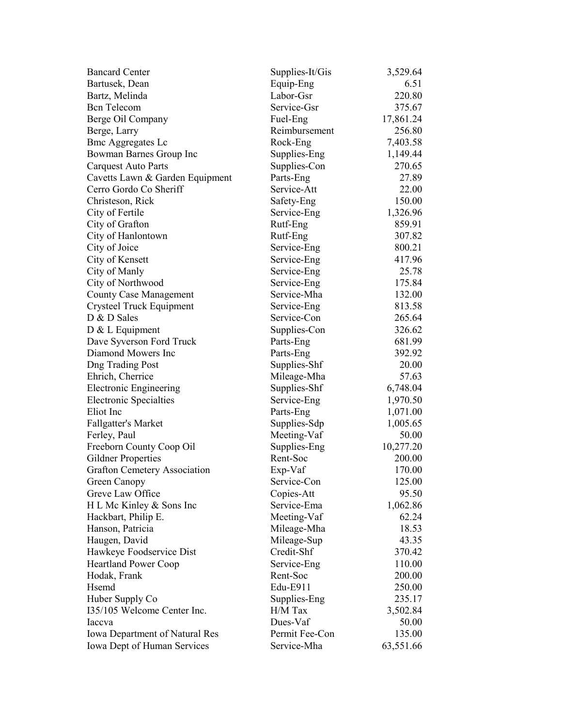| <b>Bancard Center</b>                 | Supplies-It/Gis | 3,529.64  |
|---------------------------------------|-----------------|-----------|
| Bartusek, Dean                        | Equip-Eng       | 6.51      |
| Bartz, Melinda                        | Labor-Gsr       | 220.80    |
| <b>Bcn</b> Telecom                    | Service-Gsr     | 375.67    |
| Berge Oil Company                     | Fuel-Eng        | 17,861.24 |
| Berge, Larry                          | Reimbursement   | 256.80    |
| <b>Bmc Aggregates Lc</b>              | Rock-Eng        | 7,403.58  |
| Bowman Barnes Group Inc               | Supplies-Eng    | 1,149.44  |
| Carquest Auto Parts                   | Supplies-Con    | 270.65    |
| Cavetts Lawn & Garden Equipment       | Parts-Eng       | 27.89     |
| Cerro Gordo Co Sheriff                | Service-Att     | 22.00     |
| Christeson, Rick                      | Safety-Eng      | 150.00    |
| City of Fertile                       | Service-Eng     | 1,326.96  |
| City of Grafton                       | Rutf-Eng        | 859.91    |
| City of Hanlontown                    | Rutf-Eng        | 307.82    |
| City of Joice                         | Service-Eng     | 800.21    |
| City of Kensett                       | Service-Eng     | 417.96    |
| City of Manly                         | Service-Eng     | 25.78     |
| City of Northwood                     | Service-Eng     | 175.84    |
| <b>County Case Management</b>         | Service-Mha     | 132.00    |
| Crysteel Truck Equipment              | Service-Eng     | 813.58    |
| D & D Sales                           | Service-Con     | 265.64    |
| $D & L$ Equipment                     | Supplies-Con    | 326.62    |
| Dave Syverson Ford Truck              | Parts-Eng       | 681.99    |
| Diamond Mowers Inc                    | Parts-Eng       | 392.92    |
| <b>Dng Trading Post</b>               | Supplies-Shf    | 20.00     |
| Ehrich, Cherrice                      | Mileage-Mha     | 57.63     |
| <b>Electronic Engineering</b>         | Supplies-Shf    | 6,748.04  |
| <b>Electronic Specialties</b>         | Service-Eng     | 1,970.50  |
| Eliot Inc                             | Parts-Eng       | 1,071.00  |
| <b>Fallgatter's Market</b>            | Supplies-Sdp    | 1,005.65  |
| Ferley, Paul                          | Meeting-Vaf     | 50.00     |
| Freeborn County Coop Oil              | Supplies-Eng    | 10,277.20 |
| Gildner Properties                    | Rent-Soc        | 200.00    |
| <b>Grafton Cemetery Association</b>   | Exp-Vaf         | 170.00    |
| Green Canopy                          | Service-Con     | 125.00    |
| Greve Law Office                      | Copies-Att      | 95.50     |
| H L Mc Kinley & Sons Inc              | Service-Ema     | 1,062.86  |
| Hackbart, Philip E.                   | Meeting-Vaf     | 62.24     |
| Hanson, Patricia                      | Mileage-Mha     | 18.53     |
| Haugen, David                         | Mileage-Sup     | 43.35     |
| Hawkeye Foodservice Dist              | Credit-Shf      | 370.42    |
| <b>Heartland Power Coop</b>           | Service-Eng     | 110.00    |
| Hodak, Frank                          | Rent-Soc        | 200.00    |
| Hsemd                                 | Edu-E911        | 250.00    |
| Huber Supply Co                       | Supplies-Eng    | 235.17    |
| 135/105 Welcome Center Inc.           | H/M Tax         | 3,502.84  |
| Iaccva                                | Dues-Vaf        | 50.00     |
| <b>Iowa Department of Natural Res</b> | Permit Fee-Con  | 135.00    |
|                                       | Service-Mha     |           |
| Iowa Dept of Human Services           |                 | 63,551.66 |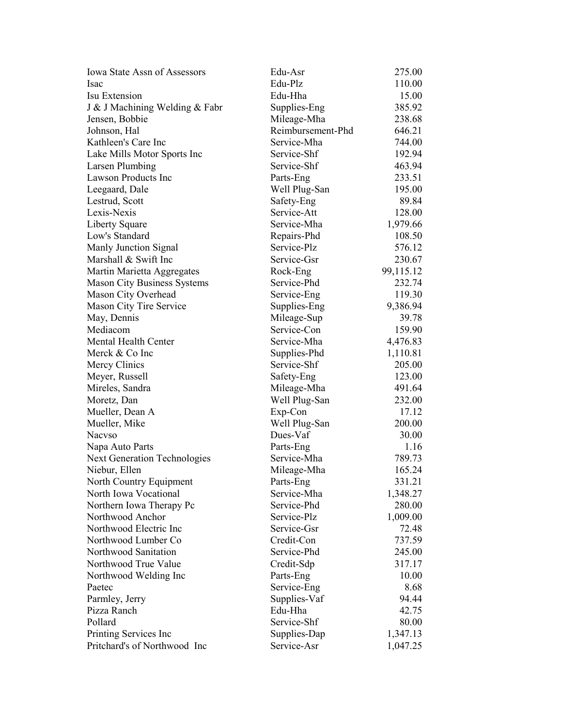| <b>Iowa State Assn of Assessors</b> | Edu-Asr           | 275.00    |
|-------------------------------------|-------------------|-----------|
| <b>Isac</b>                         | Edu-Plz           | 110.00    |
| Isu Extension                       | Edu-Hha           | 15.00     |
| J & J Machining Welding & Fabr      | Supplies-Eng      | 385.92    |
| Jensen, Bobbie                      | Mileage-Mha       | 238.68    |
| Johnson, Hal                        | Reimbursement-Phd | 646.21    |
| Kathleen's Care Inc                 | Service-Mha       | 744.00    |
| Lake Mills Motor Sports Inc         | Service-Shf       | 192.94    |
| <b>Larsen Plumbing</b>              | Service-Shf       | 463.94    |
| <b>Lawson Products Inc</b>          | Parts-Eng         | 233.51    |
| Leegaard, Dale                      | Well Plug-San     | 195.00    |
| Lestrud, Scott                      | Safety-Eng        | 89.84     |
| Lexis-Nexis                         | Service-Att       | 128.00    |
| Liberty Square                      | Service-Mha       | 1,979.66  |
| Low's Standard                      | Repairs-Phd       | 108.50    |
| Manly Junction Signal               | Service-Plz       | 576.12    |
| Marshall & Swift Inc                | Service-Gsr       | 230.67    |
| Martin Marietta Aggregates          | Rock-Eng          | 99,115.12 |
| <b>Mason City Business Systems</b>  | Service-Phd       | 232.74    |
| Mason City Overhead                 | Service-Eng       | 119.30    |
| Mason City Tire Service             | Supplies-Eng      | 9,386.94  |
| May, Dennis                         | Mileage-Sup       | 39.78     |
| Mediacom                            | Service-Con       | 159.90    |
| Mental Health Center                | Service-Mha       | 4,476.83  |
| Merck & Co Inc                      | Supplies-Phd      | 1,110.81  |
| Mercy Clinics                       | Service-Shf       | 205.00    |
| Meyer, Russell                      | Safety-Eng        | 123.00    |
| Mireles, Sandra                     | Mileage-Mha       | 491.64    |
| Moretz, Dan                         | Well Plug-San     | 232.00    |
| Mueller, Dean A                     | Exp-Con           | 17.12     |
| Mueller, Mike                       | Well Plug-San     | 200.00    |
| <b>Nacyso</b>                       | Dues-Vaf          | 30.00     |
| Napa Auto Parts                     | Parts-Eng         | 1.16      |
| <b>Next Generation Technologies</b> | Service-Mha       | 789.73    |
| Niebur, Ellen                       | Mileage-Mha       | 165.24    |
| North Country Equipment             | Parts-Eng         | 331.21    |
| North Iowa Vocational               | Service-Mha       | 1,348.27  |
| Northern Iowa Therapy Pc            | Service-Phd       | 280.00    |
| Northwood Anchor                    | Service-Plz       | 1,009.00  |
| Northwood Electric Inc              | Service-Gsr       | 72.48     |
| Northwood Lumber Co                 | Credit-Con        | 737.59    |
| Northwood Sanitation                | Service-Phd       | 245.00    |
| Northwood True Value                | Credit-Sdp        | 317.17    |
| Northwood Welding Inc               | Parts-Eng         | 10.00     |
| Paetec                              | Service-Eng       | 8.68      |
| Parmley, Jerry                      | Supplies-Vaf      | 94.44     |
| Pizza Ranch                         | Edu-Hha           | 42.75     |
| Pollard                             | Service-Shf       | 80.00     |
| Printing Services Inc               | Supplies-Dap      | 1,347.13  |
| Pritchard's of Northwood Inc        | Service-Asr       | 1,047.25  |